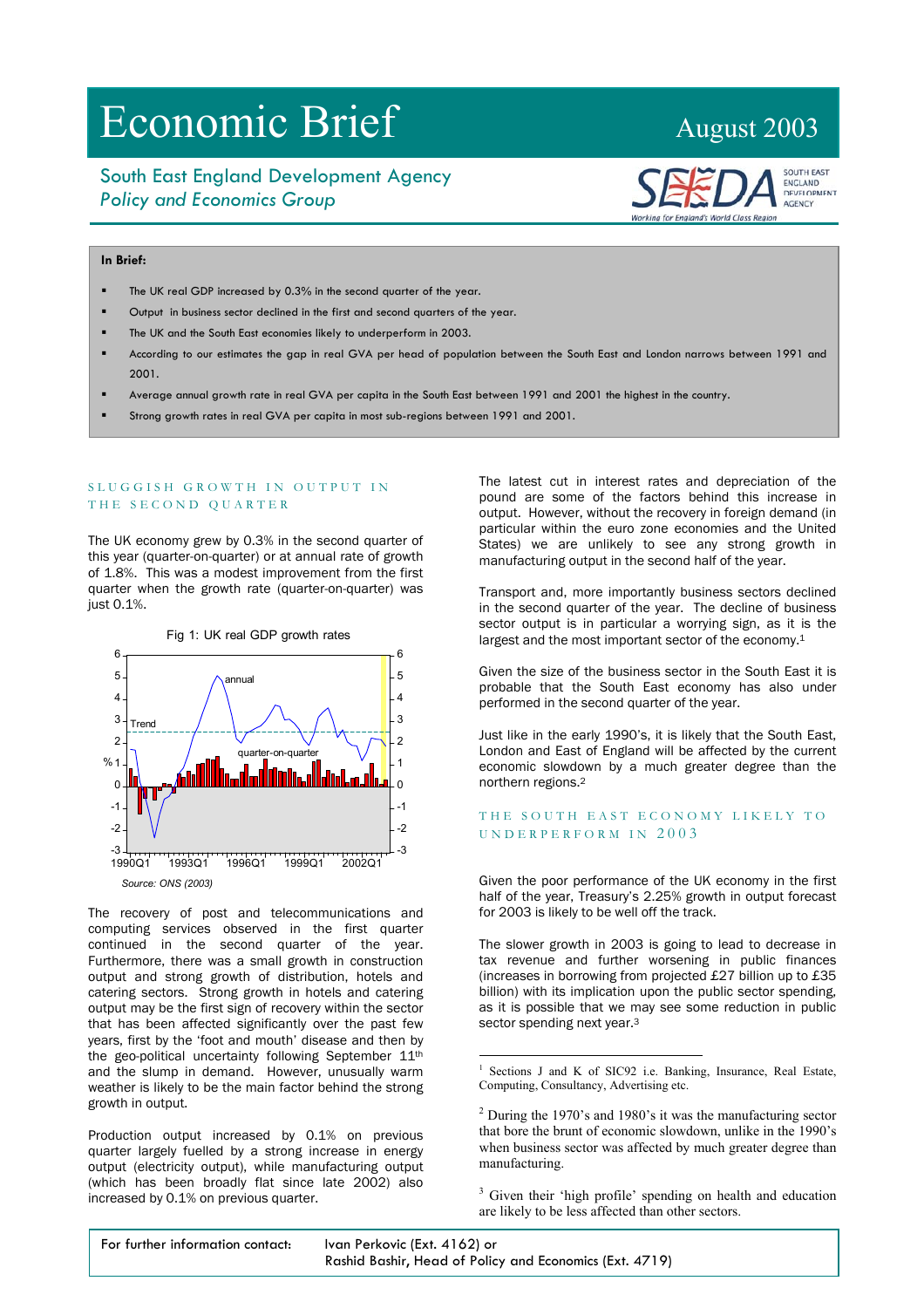# Economic Brief August 2003

## South East England Development Agency *Policy and Economics Group*



### **In Brief:**

- The UK real GDP increased by 0.3% in the second quarter of the year.
- Output in business sector declined in the first and second quarters of the year.

- The UK and the South East economies likely to underperform in 2003.
- According to our estimates the gap in real GVA per head of population between the South East and London narrows between 1991 and 2001.
- Average annual growth rate in real GVA per capita in the South East between 1991 and 2001 the highest in the country.
- Strong growth rates in real GVA per capita in most sub-regions between 1991 and 2001.

#### SLUGGISH GROWTH IN OUTPUT IN THE SECOND QUARTER

The UK economy grew by 0.3% in the second quarter of this year (quarter-on-quarter) or at annual rate of growth of 1.8%. This was a modest improvement from the first quarter when the growth rate (quarter-on-quarter) was just 0.1%.



The recovery of post and telecommunications and computing services observed in the first quarter continued in the second quarter of the year. Furthermore, there was a small growth in construction output and strong growth of distribution, hotels and catering sectors. Strong growth in hotels and catering output may be the first sign of recovery within the sector that has been affected significantly over the past few years, first by the 'foot and mouth' disease and then by the geo-political uncertainty following September 11<sup>th</sup> and the slump in demand. However, unusually warm weather is likely to be the main factor behind the strong growth in output.

Production output increased by 0.1% on previous quarter largely fuelled by a strong increase in energy output (electricity output), while manufacturing output (which has been broadly flat since late 2002) also increased by 0.1% on previous quarter.

The latest cut in interest rates and depreciation of the pound are some of the factors behind this increase in output. However, without the recovery in foreign demand (in particular within the euro zone economies and the United States) we are unlikely to see any strong growth in manufacturing output in the second half of the year.

Transport and, more importantly business sectors declined in the second quarter of the year. The decline of business sector output is in particular a worrying sign, as it is the largest and the most important sector of the economy.[1](#page-0-0)

Given the size of the business sector in the South East it is probable that the South East economy has also under performed in the second quarter of the year.

Just like in the early 1990's, it is likely that the South East, London and East of England will be affected by the current economic slowdown by a much greater degree than the northern regions.[2](#page-0-1)

#### THE SOUTH EAST ECONOMY LIKELY TO UNDERPERFORM IN 2003

Given the poor performance of the UK economy in the first half of the year, Treasury's 2.25% growth in output forecast for 2003 is likely to be well off the track.

The slower growth in 2003 is going to lead to decrease in tax revenue and further worsening in public finances (increases in borrowing from projected £27 billion up to £35 billion) with its implication upon the public sector spending, as it is possible that we may see some reduction in public sector spending next year.<sup>3</sup>

<span id="page-0-2"></span><sup>3</sup> Given their 'high profile' spending on health and education are likely to be less affected than other sectors.

| For further information contact: | Ivan Perkovic (Ext. 4162) or                            |  |  |
|----------------------------------|---------------------------------------------------------|--|--|
|                                  | Rashid Bashir, Head of Policy and Economics (Ext. 4719) |  |  |

<span id="page-0-0"></span> $\frac{1}{1}$ <sup>1</sup> Sections J and K of SIC92 i.e. Banking, Insurance, Real Estate, Computing, Consultancy, Advertising etc.

<span id="page-0-1"></span> $2$  During the 1970's and 1980's it was the manufacturing sector that bore the brunt of economic slowdown, unlike in the 1990's when business sector was affected by much greater degree than manufacturing.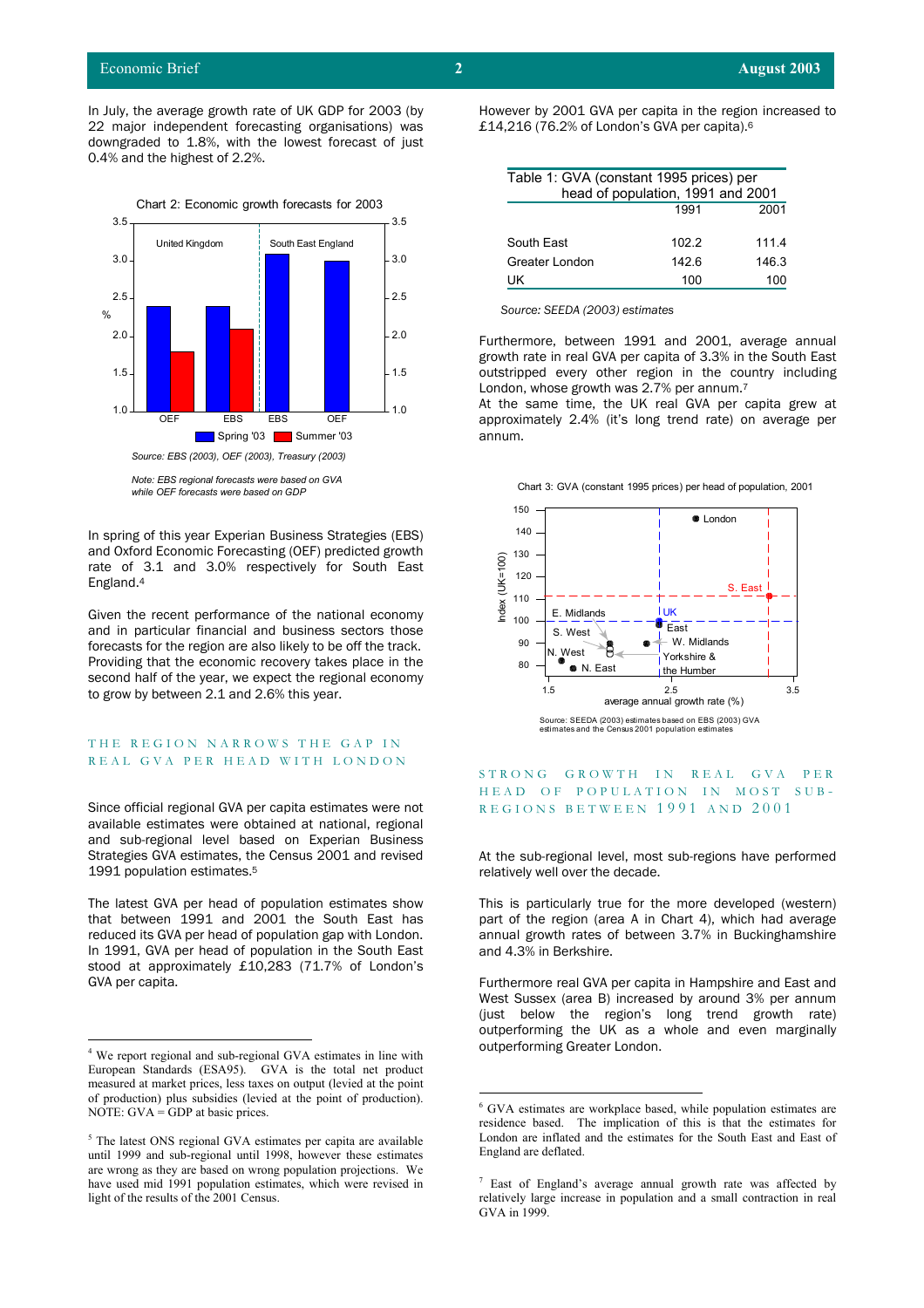In July, the average growth rate of UK GDP for 2003 (by 22 major independent forecasting organisations) was downgraded to 1.8%, with the lowest forecast of just 0.4% and the highest of 2.2%.



*Note: EBS regional forecasts were based on GVA while OEF forecasts were based on GDP*

In spring of this year Experian Business Strategies (EBS) and Oxford Economic Forecasting (OEF) predicted growth rate of 3.1 and 3.0% respectively for South East

Given the recent performance of the national economy and in particular financial and business sectors those forecasts for the region are also likely to be off the track. Providing that the economic recovery takes place in the second half of the year, we expect the regional economy to grow by between 2.1 and 2.6% this year.

#### THE REGION NARROWS THE GAP IN REAL GVA PER HEAD WITH LONDON

Since official regional GVA per capita estimates were not available estimates were obtained at national, regional and sub-regional level based on Experian Business Strategies GVA estimates, the Census 2001 and revised 1991 population estimates[.5](#page-1-1)

The latest GVA per head of population estimates show that between 1991 and 2001 the South East has reduced its GVA per head of population gap with London. In 1991, GVA per head of population in the South East and 4.3% in Berkshire. stood at approximately £10,283 (71.7% of London's GVA per capita.

However by 2001 GVA per capita in the region increased to £14,21[6](#page-1-2) (76.2% of London's GVA per capita).<sup>6</sup>

| Table 1: GVA (constant 1995 prices) per |       |       |  |  |  |
|-----------------------------------------|-------|-------|--|--|--|
| head of population, 1991 and 2001       |       |       |  |  |  |
|                                         | 1991  | 2001  |  |  |  |
|                                         |       |       |  |  |  |
| South East                              | 102.2 | 111.4 |  |  |  |
| Greater London                          | 1426  | 146.3 |  |  |  |
| UK                                      | 100   | 100   |  |  |  |

 *Source: SEEDA (2003) estimates* 

Furthermore, between 1991 and 2001, average annual growth rate in real GVA per capita of 3.3% in the South East outstripped every other region in the country including London, whose growth was 2.7% per annum.[7](#page-1-3)

At the same time, the UK real GVA per capita grew at approximately 2.4% (it's long trend rate) on average per annum.

Chart 3: GVA (constant 1995 prices) per head of population, 2001



# STRONG GROWTH IN REAL GVA PER HEAD OF POPULATION IN MOST SUB-REGIONS BETWEEN 1991 AND 2001

At the sub-regional level, most sub-regions have performed relatively well over the decade.

This is particularly true for the more developed (western) part of the region (area A in Chart 4), which had average annual growth rates of between 3.7% in Buckinghamshire

Furthermore real GVA per capita in Hampshire and East and West Sussex (area B) increased by around 3% per annum (just below the region's long trend growth rate) outperforming the UK as a whole and even marginally

<span id="page-1-0"></span><sup>&</sup>lt;sup>4</sup> We report regional and sub-regional GVA estimates in line with outperforming Greater London. European Standards (ESA95). GVA is the total net product measured at market prices, less taxes on output (levied at the point of production) plus subsidies (levied at the point of production). NOTE:  $GVA = GDP$  at basic prices.

<span id="page-1-1"></span><sup>&</sup>lt;sup>5</sup> The latest ONS regional GVA estimates per capita are available until 1999 and sub-regional until 1998, however these estimates are wrong as they are based on wrong population projections. We have used mid 1991 population estimates, which were revised in light of the results of the 2001 Census.

<span id="page-1-2"></span> <sup>6</sup>  $^6$  GVA estimates are workplace based, while population estimates are residence based. The implication of this is that the estimates for London are inflated and the estimates for the South East and East of England are deflated.

<span id="page-1-3"></span> $7$  East of England's average annual growth rate was affected by relatively large increase in population and a small contraction in real GVA in 1999.